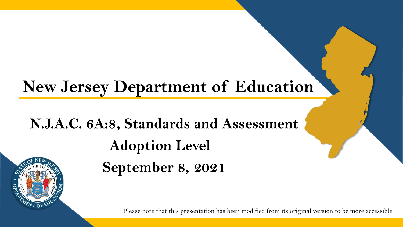## **New Jersey Department of Education**

## **N.J.A.C. 6A:8, Standards and Assessment Adoption Level September 8, 2021**

 $\sqrt[4]{\ell_{NT~\rm OF}}$